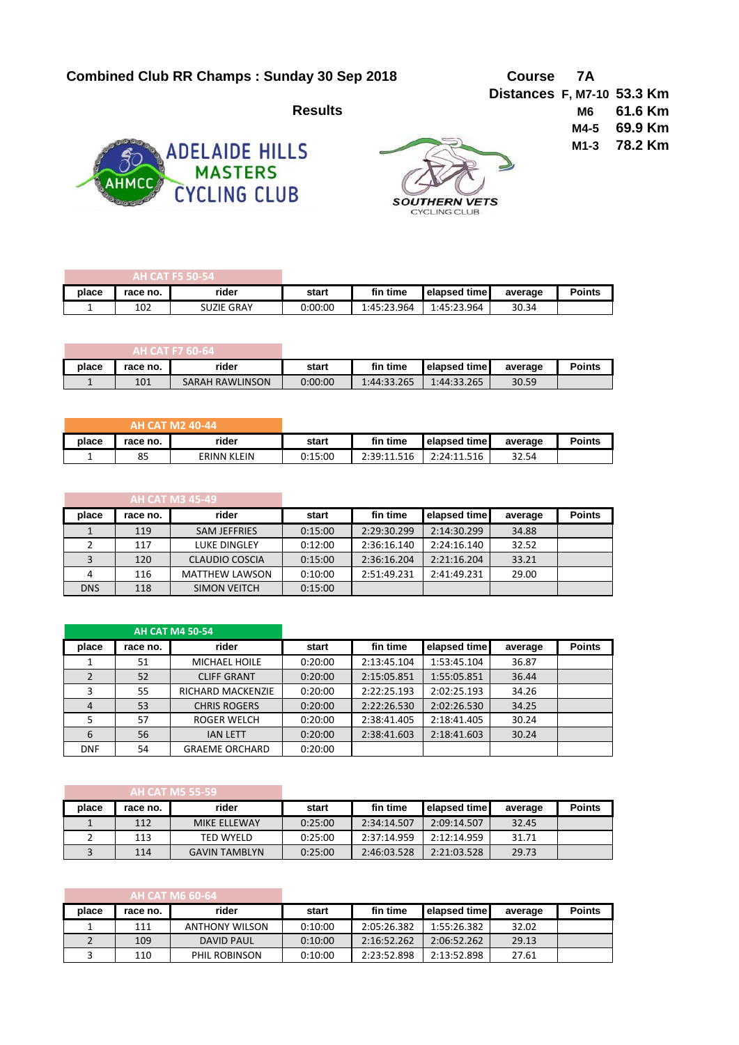## **Combined Club RR Champs : Sunday 30 Sep 2018 Course 7A**



**SOUTHERN VETS** CYCLING CLUB

**Distances F, M7-10 53.3 Km Results M6 61.6 Km M4-5 69.9 Km M1-3 78.2 Km**

| AH CAT F5 50-54. |          |                   |         |             |                       |         |               |
|------------------|----------|-------------------|---------|-------------|-----------------------|---------|---------------|
| place            | race no. | rider             | start   | fin time    | <b>I</b> elapsed time | average | <b>Points</b> |
|                  | 102      | <b>SUZIE GRAY</b> | 0:00:00 | 1:45:23.964 | 1:45:23.964           | 30.34   |               |

| AH CAT F7 60-64 |          |                 |         |             |              |         |               |
|-----------------|----------|-----------------|---------|-------------|--------------|---------|---------------|
| place           | race no. | rider           | start   | fin time    | elapsed time | average | <b>Points</b> |
|                 | 101      | SARAH RAWLINSON | 0:00:00 | 1:44:33.265 | 1:44:33.265  | 30.59   |               |

| <b>AH CAT M2 40-44 \</b> |          |                    |         |             |                      |         |               |
|--------------------------|----------|--------------------|---------|-------------|----------------------|---------|---------------|
| place                    | race no. | rider              | start   | fin time    | <b>Lelapsed time</b> | average | <b>Points</b> |
|                          | 85       | <b>ERINN KLEIN</b> | 0:15:00 | 2:39:11.516 | 2:24:11.516          | 32.54   |               |

| <b>AH CAT M3 45-49</b> |          |                       |         |             |              |         |               |
|------------------------|----------|-----------------------|---------|-------------|--------------|---------|---------------|
| place                  | race no. | rider                 | start   | fin time    | elapsed time | average | <b>Points</b> |
|                        | 119      | <b>SAM JEFFRIES</b>   | 0:15:00 | 2:29:30.299 | 2:14:30.299  | 34.88   |               |
|                        | 117      | <b>LUKE DINGLEY</b>   | 0:12:00 | 2:36:16.140 | 2:24:16.140  | 32.52   |               |
|                        | 120      | CLAUDIO COSCIA        | 0:15:00 | 2:36:16.204 | 2:21:16.204  | 33.21   |               |
| 4                      | 116      | <b>MATTHEW LAWSON</b> | 0:10:00 | 2:51:49.231 | 2:41:49.231  | 29.00   |               |
| <b>DNS</b>             | 118      | <b>SIMON VEITCH</b>   | 0:15:00 |             |              |         |               |

|            |          | <b>AH CAT M4 50-54</b> |         |             |              |         |               |
|------------|----------|------------------------|---------|-------------|--------------|---------|---------------|
| place      | race no. | rider                  | start   | fin time    | elapsed time | average | <b>Points</b> |
|            | 51       | MICHAEL HOILE          | 0:20:00 | 2:13:45.104 | 1:53:45.104  | 36.87   |               |
|            | 52       | <b>CLIFF GRANT</b>     | 0:20:00 | 2:15:05.851 | 1:55:05.851  | 36.44   |               |
|            | 55       | RICHARD MACKENZIE      | 0:20:00 | 2:22:25.193 | 2:02:25.193  | 34.26   |               |
| 4          | 53       | <b>CHRIS ROGERS</b>    | 0:20:00 | 2:22:26.530 | 2:02:26.530  | 34.25   |               |
|            | 57       | ROGER WELCH            | 0:20:00 | 2:38:41.405 | 2:18:41.405  | 30.24   |               |
| 6          | 56       | <b>IAN LETT</b>        | 0:20:00 | 2:38:41.603 | 2:18:41.603  | 30.24   |               |
| <b>DNF</b> | 54       | <b>GRAEME ORCHARD</b>  | 0:20:00 |             |              |         |               |

| AH CAT M5 55-59 |          |                      |         |             |              |         |               |
|-----------------|----------|----------------------|---------|-------------|--------------|---------|---------------|
| place           | race no. | rider                | start   | fin time    | elapsed time | average | <b>Points</b> |
|                 | 112      | MIKE ELLEWAY         | 0:25:00 | 2:34:14.507 | 2:09:14.507  | 32.45   |               |
|                 | 113      | TED WYELD            | 0:25:00 | 2:37:14.959 | 2:12:14.959  | 31.71   |               |
|                 | 114      | <b>GAVIN TAMBLYN</b> | 0:25:00 | 2:46:03.528 | 2:21:03.528  | 29.73   |               |

| AH CAT M6 60-64 |          |                       |         |             |              |         |               |
|-----------------|----------|-----------------------|---------|-------------|--------------|---------|---------------|
| place           | race no. | rider                 | start   | fin time    | elapsed time | average | <b>Points</b> |
|                 | 111      | <b>ANTHONY WILSON</b> | 0:10:00 | 2:05:26.382 | 1:55:26.382  | 32.02   |               |
|                 | 109      | DAVID PAUL            | 0:10:00 | 2:16:52.262 | 2:06:52.262  | 29.13   |               |
|                 | 110      | PHIL ROBINSON         | 0:10:00 | 2:23:52.898 | 2:13:52.898  | 27.61   |               |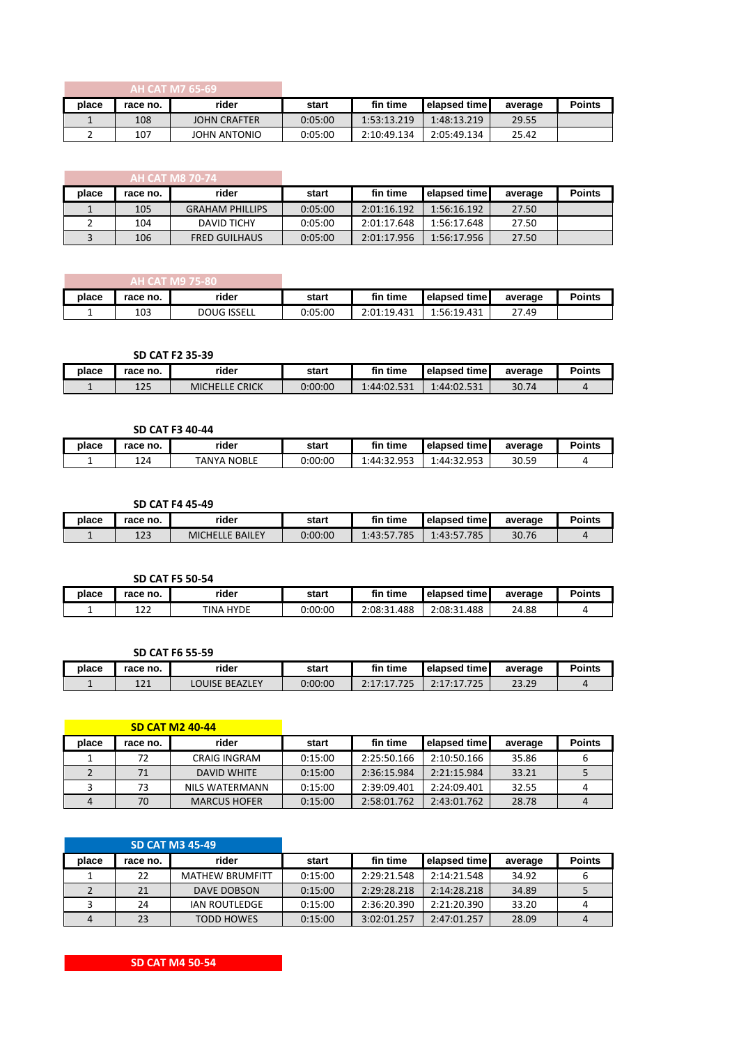| <b>AH CAT M7 65-69</b> ا |          |                     |         |             |              |         |               |
|--------------------------|----------|---------------------|---------|-------------|--------------|---------|---------------|
| place                    | race no. | rider               | start   | fin time    | elapsed time | average | <b>Points</b> |
|                          | 108      | <b>JOHN CRAFTER</b> | 0:05:00 | 1:53:13.219 | 1:48:13.219  | 29.55   |               |
|                          | 107      | JOHN ANTONIO        | 0:05:00 | 2:10:49.134 | 2:05:49.134  | 25.42   |               |

| AH CAT M8 70-74 |          |                        |         |             |              |         |               |
|-----------------|----------|------------------------|---------|-------------|--------------|---------|---------------|
| place           | race no. | rider                  | start   | fin time    | elapsed time | average | <b>Points</b> |
|                 | 105      | <b>GRAHAM PHILLIPS</b> | 0:05:00 | 2:01:16.192 | 1:56:16.192  | 27.50   |               |
|                 | 104      | <b>DAVID TICHY</b>     | 0:05:00 | 2:01:17.648 | 1:56:17.648  | 27.50   |               |
|                 | 106      | <b>FRED GUILHAUS</b>   | 0:05:00 | 2:01:17.956 | 1:56:17.956  | 27.50   |               |

| AH CAT M9 75-80 |          |                    |         |             |                     |         |               |
|-----------------|----------|--------------------|---------|-------------|---------------------|---------|---------------|
| place           | race no. | rider              | start   | fin time    | <b>elapsed time</b> | average | <b>Points</b> |
| -               | 103      | <b>DOUG ISSELL</b> | 0:05:00 | 2:01:19.431 | 1:56:19.431         | 27.49   |               |

**SD CAT F2 35-39**

| place | race no.  | rider                          | start   | fin time    | elapsed time | average | <b>Points</b> |
|-------|-----------|--------------------------------|---------|-------------|--------------|---------|---------------|
|       | 12F<br>ᅶᄼ | <b>CRICK</b><br>MICHEI<br>LLE. | 0:00:00 | 1:44:02.531 | 1:44:02.531  | 30.74   |               |

|       |          | <b>SD CAT F3 40-44</b> |         |             |                       |         |               |
|-------|----------|------------------------|---------|-------------|-----------------------|---------|---------------|
| place | race no. | rider                  | start   | fin time    | <b>I</b> elapsed time | average | <b>Points</b> |
| -     | 124      | <b>TANYA NOBLE</b>     | 0:00:00 | 1:44:32.953 | 1:44:32.953           | 30.59   |               |

**SD CAT F4 45-49**

| place | race no.  | rider                          | start   | fin time        | elapsed time     | average | <b>Points</b> |
|-------|-----------|--------------------------------|---------|-----------------|------------------|---------|---------------|
|       | າາາ<br>ᆂᄼ | <b>BAILEY</b><br><b>MICHEI</b> | 0:00:00 | '.785<br>1.43.5 | '.785<br>1:43:57 | 30.76   |               |

|       |           | <b>SD CAT F5 50-54</b> |         |             |                     |         |               |
|-------|-----------|------------------------|---------|-------------|---------------------|---------|---------------|
| place | race no.  | rider                  | start   | fin time    | <b>elapsed time</b> | average | <b>Points</b> |
|       | 122<br>ᅭᆇ | <b>TINA HYDE</b>       | 0:00:00 | 2:08:31.488 | 2:08:31.488         | 24.88   |               |

## **SD CAT F6 55-59**

| place | race no.   | rider                 | start   | fin time | elapsed time | average | Points |
|-------|------------|-----------------------|---------|----------|--------------|---------|--------|
|       | 121<br>ᆂᄼᅩ | <b>LOUISE BEAZLEY</b> | 0:00:00 |          | フフロ          | 23.29   |        |

|       |          | <b>SD CAT M2 40-44</b> |         |             |              |         |               |
|-------|----------|------------------------|---------|-------------|--------------|---------|---------------|
| place | race no. | rider                  | start   | fin time    | elapsed time | average | <b>Points</b> |
|       | 72       | CRAIG INGRAM           | 0:15:00 | 2:25:50.166 | 2:10:50.166  | 35.86   |               |
|       | 71       | DAVID WHITE            | 0:15:00 | 2:36:15.984 | 2:21:15.984  | 33.21   |               |
|       | 73       | NILS WATERMANN         | 0:15:00 | 2:39:09.401 | 2:24:09.401  | 32.55   |               |
| 4     | 70       | <b>MARCUS HOFER</b>    | 0:15:00 | 2:58:01.762 | 2:43:01.762  | 28.78   |               |

|       |          | <b>SD CAT M3 45-49</b> |         |             |              |         |               |
|-------|----------|------------------------|---------|-------------|--------------|---------|---------------|
| place | race no. | rider                  | start   | fin time    | elapsed time | average | <b>Points</b> |
|       | 22       | <b>MATHEW BRUMFITT</b> | 0:15:00 | 2:29:21.548 | 2:14:21.548  | 34.92   |               |
|       | 21       | DAVE DOBSON            | 0:15:00 | 2:29:28.218 | 2:14:28.218  | 34.89   |               |
|       | 24       | <b>IAN ROUTLEDGE</b>   | 0:15:00 | 2:36:20.390 | 2:21:20.390  | 33.20   |               |
| 4     | 23       | <b>TODD HOWES</b>      | 0:15:00 | 3:02:01.257 | 2:47:01.257  | 28.09   |               |

**SD CAT M4 50-54**